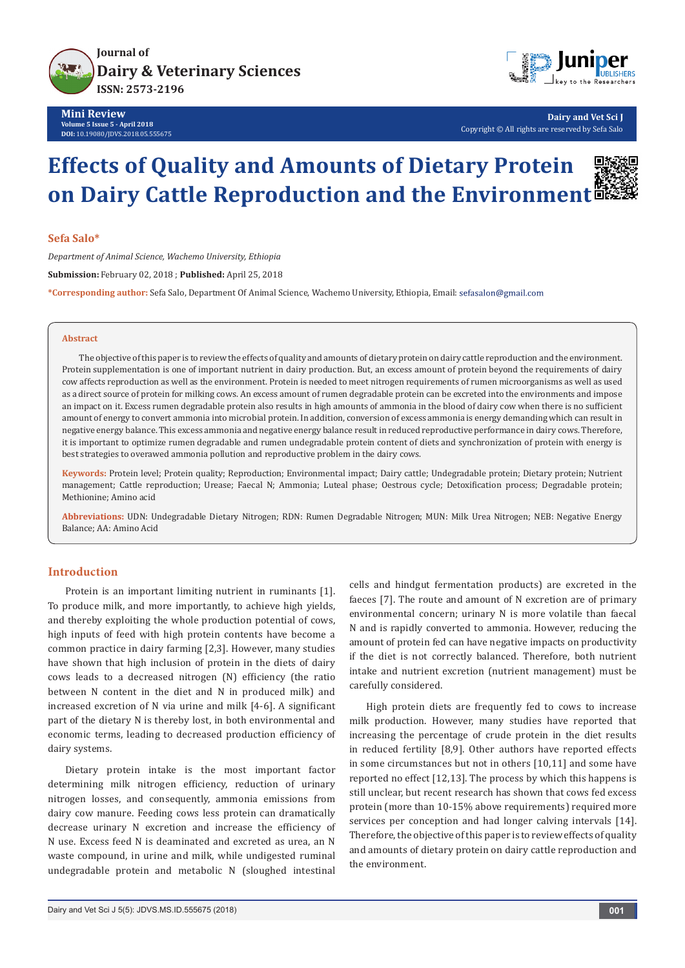



**Dairy and Vet Sci J** Copyright © All rights are reserved by Sefa Salo

# **Effects of Quality and Amounts of Dietary Protein on Dairy Cattle Reproduction and the Environment**

## **Sefa Salo\***

*Department of Animal Science, Wachemo University, Ethiopia* **Submission:** February 02, 2018 ; **Published:** April 25, 2018 **\*Corresponding author:** Sefa Salo, Department Of Animal Science, Wachemo University, Ethiopia, Email:

#### **Abstract**

The objective of this paper is to review the effects of quality and amounts of dietary protein on dairy cattle reproduction and the environment. Protein supplementation is one of important nutrient in dairy production. But, an excess amount of protein beyond the requirements of dairy cow affects reproduction as well as the environment. Protein is needed to meet nitrogen requirements of rumen microorganisms as well as used as a direct source of protein for milking cows. An excess amount of rumen degradable protein can be excreted into the environments and impose an impact on it. Excess rumen degradable protein also results in high amounts of ammonia in the blood of dairy cow when there is no sufficient amount of energy to convert ammonia into microbial protein. In addition, conversion of excess ammonia is energy demanding which can result in negative energy balance. This excess ammonia and negative energy balance result in reduced reproductive performance in dairy cows. Therefore, it is important to optimize rumen degradable and rumen undegradable protein content of diets and synchronization of protein with energy is best strategies to overawed ammonia pollution and reproductive problem in the dairy cows.

**Keywords:** Protein level; Protein quality; Reproduction; Environmental impact; Dairy cattle; Undegradable protein; Dietary protein; Nutrient management; Cattle reproduction; Urease; Faecal N; Ammonia; Luteal phase; Oestrous cycle; Detoxification process; Degradable protein; Methionine; Amino acid

**Abbreviations:** UDN: Undegradable Dietary Nitrogen; RDN: Rumen Degradable Nitrogen; MUN: Milk Urea Nitrogen; NEB: Negative Energy Balance; AA: Amino Acid

## **Introduction**

Protein is an important limiting nutrient in ruminants [1]. To produce milk, and more importantly, to achieve high yields, and thereby exploiting the whole production potential of cows, high inputs of feed with high protein contents have become a common practice in dairy farming [2,3]. However, many studies have shown that high inclusion of protein in the diets of dairy cows leads to a decreased nitrogen (N) efficiency (the ratio between N content in the diet and N in produced milk) and increased excretion of N via urine and milk [4-6]. A significant part of the dietary N is thereby lost, in both environmental and economic terms, leading to decreased production efficiency of dairy systems.

Dietary protein intake is the most important factor determining milk nitrogen efficiency, reduction of urinary nitrogen losses, and consequently, ammonia emissions from dairy cow manure. Feeding cows less protein can dramatically decrease urinary N excretion and increase the efficiency of N use. Excess feed N is deaminated and excreted as urea, an N waste compound, in urine and milk, while undigested ruminal undegradable protein and metabolic N (sloughed intestinal

cells and hindgut fermentation products) are excreted in the faeces [7]. The route and amount of N excretion are of primary environmental concern; urinary N is more volatile than faecal N and is rapidly converted to ammonia. However, reducing the amount of protein fed can have negative impacts on productivity if the diet is not correctly balanced. Therefore, both nutrient intake and nutrient excretion (nutrient management) must be carefully considered.

High protein diets are frequently fed to cows to increase milk production. However, many studies have reported that increasing the percentage of crude protein in the diet results in reduced fertility [8,9]. Other authors have reported effects in some circumstances but not in others [10,11] and some have reported no effect [12,13]. The process by which this happens is still unclear, but recent research has shown that cows fed excess protein (more than 10-15% above requirements) required more services per conception and had longer calving intervals [14]. Therefore, the objective of this paper is to review effects of quality and amounts of dietary protein on dairy cattle reproduction and the environment.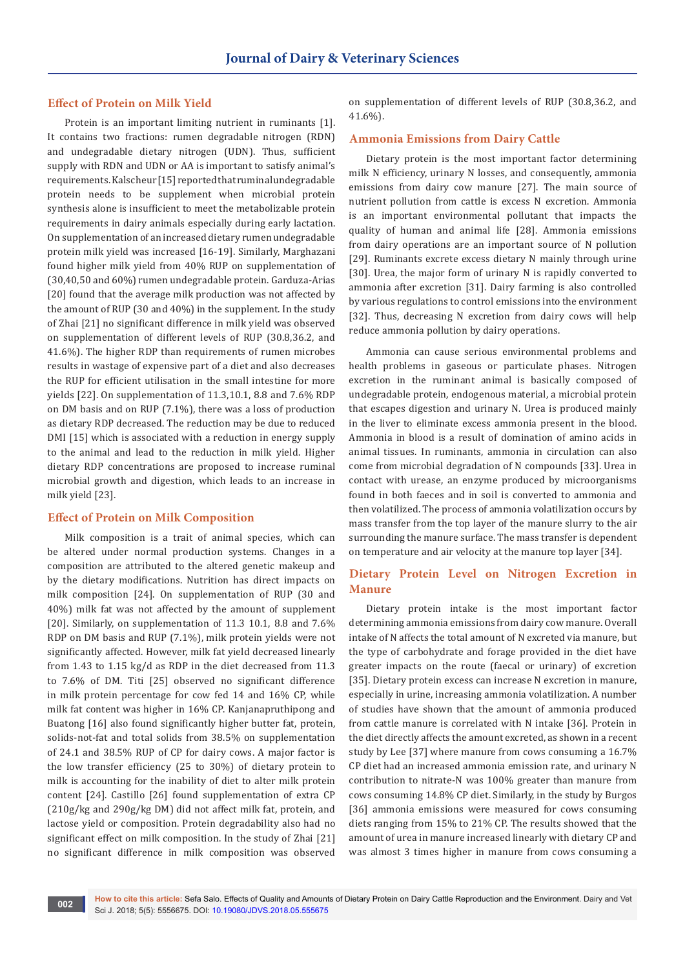## **Effect of Protein on Milk Yield**

Protein is an important limiting nutrient in ruminants [1]. It contains two fractions: rumen degradable nitrogen (RDN) and undegradable dietary nitrogen (UDN). Thus, sufficient supply with RDN and UDN or AA is important to satisfy animal's requirements. Kalscheur [15] reported that ruminal undegradable protein needs to be supplement when microbial protein synthesis alone is insufficient to meet the metabolizable protein requirements in dairy animals especially during early lactation. On supplementation of an increased dietary rumen undegradable protein milk yield was increased [16-19]. Similarly, Marghazani found higher milk yield from 40% RUP on supplementation of (30,40,50 and 60%) rumen undegradable protein. Garduza-Arias [20] found that the average milk production was not affected by the amount of RUP (30 and 40%) in the supplement. In the study of Zhai [21] no significant difference in milk yield was observed on supplementation of different levels of RUP (30.8,36.2, and 41.6%). The higher RDP than requirements of rumen microbes results in wastage of expensive part of a diet and also decreases the RUP for efficient utilisation in the small intestine for more yields [22]. On supplementation of 11.3,10.1, 8.8 and 7.6% RDP on DM basis and on RUP (7.1%), there was a loss of production as dietary RDP decreased. The reduction may be due to reduced DMI [15] which is associated with a reduction in energy supply to the animal and lead to the reduction in milk yield. Higher dietary RDP concentrations are proposed to increase ruminal microbial growth and digestion, which leads to an increase in milk yield [23].

#### **Effect of Protein on Milk Composition**

Milk composition is a trait of animal species, which can be altered under normal production systems. Changes in a composition are attributed to the altered genetic makeup and by the dietary modifications. Nutrition has direct impacts on milk composition [24]. On supplementation of RUP (30 and 40%) milk fat was not affected by the amount of supplement [20]. Similarly, on supplementation of 11.3 10.1, 8.8 and 7.6% RDP on DM basis and RUP (7.1%), milk protein yields were not significantly affected. However, milk fat yield decreased linearly from 1.43 to 1.15 kg/d as RDP in the diet decreased from 11.3 to 7.6% of DM. Titi [25] observed no significant difference in milk protein percentage for cow fed 14 and 16% CP, while milk fat content was higher in 16% CP. Kanjanapruthipong and Buatong [16] also found significantly higher butter fat, protein, solids-not-fat and total solids from 38.5% on supplementation of 24.1 and 38.5% RUP of CP for dairy cows. A major factor is the low transfer efficiency (25 to 30%) of dietary protein to milk is accounting for the inability of diet to alter milk protein content [24]. Castillo [26] found supplementation of extra CP (210g/kg and 290g/kg DM) did not affect milk fat, protein, and lactose yield or composition. Protein degradability also had no significant effect on milk composition. In the study of Zhai [21] no significant difference in milk composition was observed

on supplementation of different levels of RUP (30.8,36.2, and 41.6%).

## **Ammonia Emissions from Dairy Cattle**

Dietary protein is the most important factor determining milk N efficiency, urinary N losses, and consequently, ammonia emissions from dairy cow manure [27]. The main source of nutrient pollution from cattle is excess N excretion. Ammonia is an important environmental pollutant that impacts the quality of human and animal life [28]. Ammonia emissions from dairy operations are an important source of N pollution [29]. Ruminants excrete excess dietary N mainly through urine [30]. Urea, the major form of urinary N is rapidly converted to ammonia after excretion [31]. Dairy farming is also controlled by various regulations to control emissions into the environment [32]. Thus, decreasing N excretion from dairy cows will help reduce ammonia pollution by dairy operations.

Ammonia can cause serious environmental problems and health problems in gaseous or particulate phases. Nitrogen excretion in the ruminant animal is basically composed of undegradable protein, endogenous material, a microbial protein that escapes digestion and urinary N. Urea is produced mainly in the liver to eliminate excess ammonia present in the blood. Ammonia in blood is a result of domination of amino acids in animal tissues. In ruminants, ammonia in circulation can also come from microbial degradation of N compounds [33]. Urea in contact with urease, an enzyme produced by microorganisms found in both faeces and in soil is converted to ammonia and then volatilized. The process of ammonia volatilization occurs by mass transfer from the top layer of the manure slurry to the air surrounding the manure surface. The mass transfer is dependent on temperature and air velocity at the manure top layer [34].

## **Dietary Protein Level on Nitrogen Excretion in Manure**

Dietary protein intake is the most important factor determining ammonia emissions from dairy cow manure. Overall intake of N affects the total amount of N excreted via manure, but the type of carbohydrate and forage provided in the diet have greater impacts on the route (faecal or urinary) of excretion [35]. Dietary protein excess can increase N excretion in manure, especially in urine, increasing ammonia volatilization. A number of studies have shown that the amount of ammonia produced from cattle manure is correlated with N intake [36]. Protein in the diet directly affects the amount excreted, as shown in a recent study by Lee [37] where manure from cows consuming a 16.7% CP diet had an increased ammonia emission rate, and urinary N contribution to nitrate-N was 100% greater than manure from cows consuming 14.8% CP diet. Similarly, in the study by Burgos [36] ammonia emissions were measured for cows consuming diets ranging from 15% to 21% CP. The results showed that the amount of urea in manure increased linearly with dietary CP and was almost 3 times higher in manure from cows consuming a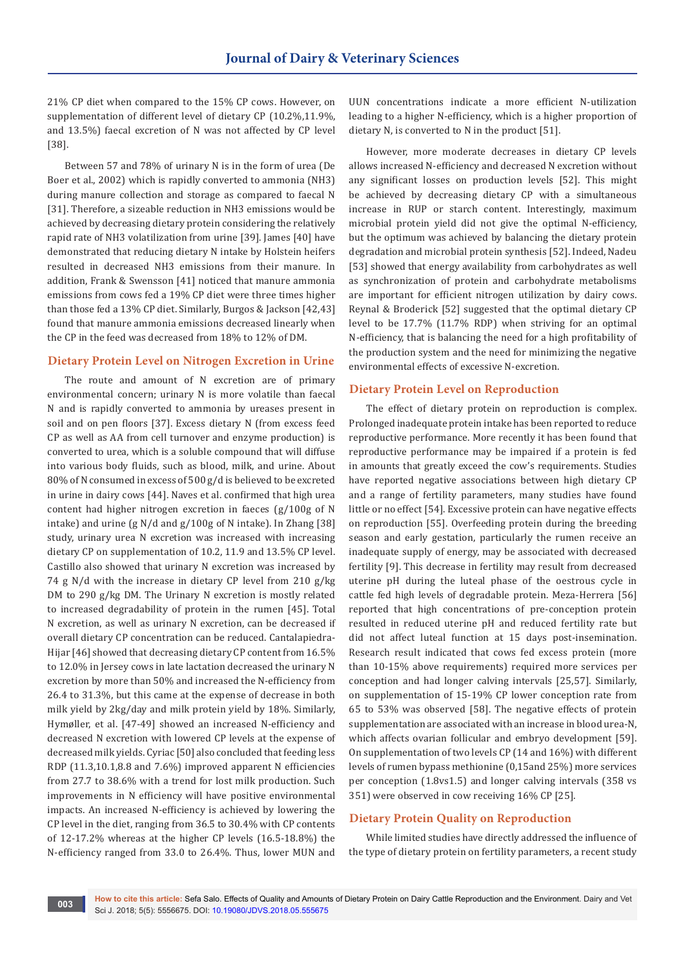21% CP diet when compared to the 15% CP cows. However, on supplementation of different level of dietary CP (10.2%,11.9%, and 13.5%) faecal excretion of N was not affected by CP level [38].

Between 57 and 78% of urinary N is in the form of urea (De Boer et al., 2002) which is rapidly converted to ammonia (NH3) during manure collection and storage as compared to faecal N [31]. Therefore, a sizeable reduction in NH3 emissions would be achieved by decreasing dietary protein considering the relatively rapid rate of NH3 volatilization from urine [39]. James [40] have demonstrated that reducing dietary N intake by Holstein heifers resulted in decreased NH3 emissions from their manure. In addition, Frank & Swensson [41] noticed that manure ammonia emissions from cows fed a 19% CP diet were three times higher than those fed a 13% CP diet. Similarly, Burgos & Jackson [42,43] found that manure ammonia emissions decreased linearly when the CP in the feed was decreased from 18% to 12% of DM.

## **Dietary Protein Level on Nitrogen Excretion in Urine**

The route and amount of N excretion are of primary environmental concern; urinary N is more volatile than faecal N and is rapidly converted to ammonia by ureases present in soil and on pen floors [37]. Excess dietary N (from excess feed CP as well as AA from cell turnover and enzyme production) is converted to urea, which is a soluble compound that will diffuse into various body fluids, such as blood, milk, and urine. About 80% of N consumed in excess of 500 g/d is believed to be excreted in urine in dairy cows [44]. Naves et al. confirmed that high urea content had higher nitrogen excretion in faeces (g/100g of N intake) and urine (g N/d and g/100g of N intake). In Zhang [38] study, urinary urea N excretion was increased with increasing dietary CP on supplementation of 10.2, 11.9 and 13.5% CP level. Castillo also showed that urinary N excretion was increased by 74 g N/d with the increase in dietary CP level from 210 g/kg DM to 290 g/kg DM. The Urinary N excretion is mostly related to increased degradability of protein in the rumen [45]. Total N excretion, as well as urinary N excretion, can be decreased if overall dietary CP concentration can be reduced. Cantalapiedra-Hijar [46] showed that decreasing dietary CP content from 16.5% to 12.0% in Jersey cows in late lactation decreased the urinary N excretion by more than 50% and increased the N-efficiency from 26.4 to 31.3%, but this came at the expense of decrease in both milk yield by 2kg/day and milk protein yield by 18%. Similarly, Hymøller, et al. [47-49] showed an increased N-efficiency and decreased N excretion with lowered CP levels at the expense of decreased milk yields. Cyriac [50] also concluded that feeding less RDP (11.3,10.1,8.8 and 7.6%) improved apparent N efficiencies from 27.7 to 38.6% with a trend for lost milk production. Such improvements in N efficiency will have positive environmental impacts. An increased N-efficiency is achieved by lowering the CP level in the diet, ranging from 36.5 to 30.4% with CP contents of 12-17.2% whereas at the higher CP levels (16.5-18.8%) the N-efficiency ranged from 33.0 to 26.4%. Thus, lower MUN and

UUN concentrations indicate a more efficient N-utilization leading to a higher N-efficiency, which is a higher proportion of dietary N, is converted to N in the product [51].

However, more moderate decreases in dietary CP levels allows increased N-efficiency and decreased N excretion without any significant losses on production levels [52]. This might be achieved by decreasing dietary CP with a simultaneous increase in RUP or starch content. Interestingly, maximum microbial protein yield did not give the optimal N-efficiency, but the optimum was achieved by balancing the dietary protein degradation and microbial protein synthesis [52]. Indeed, Nadeu [53] showed that energy availability from carbohydrates as well as synchronization of protein and carbohydrate metabolisms are important for efficient nitrogen utilization by dairy cows. Reynal & Broderick [52] suggested that the optimal dietary CP level to be 17.7% (11.7% RDP) when striving for an optimal N-efficiency, that is balancing the need for a high profitability of the production system and the need for minimizing the negative environmental effects of excessive N-excretion.

## **Dietary Protein Level on Reproduction**

The effect of dietary protein on reproduction is complex. Prolonged inadequate protein intake has been reported to reduce reproductive performance. More recently it has been found that reproductive performance may be impaired if a protein is fed in amounts that greatly exceed the cow's requirements. Studies have reported negative associations between high dietary CP and a range of fertility parameters, many studies have found little or no effect [54]. Excessive protein can have negative effects on reproduction [55]. Overfeeding protein during the breeding season and early gestation, particularly the rumen receive an inadequate supply of energy, may be associated with decreased fertility [9]. This decrease in fertility may result from decreased uterine pH during the luteal phase of the oestrous cycle in cattle fed high levels of degradable protein. Meza-Herrera [56] reported that high concentrations of pre-conception protein resulted in reduced uterine pH and reduced fertility rate but did not affect luteal function at 15 days post-insemination. Research result indicated that cows fed excess protein (more than 10-15% above requirements) required more services per conception and had longer calving intervals [25,57]. Similarly, on supplementation of 15-19% CP lower conception rate from 65 to 53% was observed [58]. The negative effects of protein supplementation are associated with an increase in blood urea-N, which affects ovarian follicular and embryo development [59]. On supplementation of two levels CP (14 and 16%) with different levels of rumen bypass methionine (0,15and 25%) more services per conception (1.8vs1.5) and longer calving intervals (358 vs 351) were observed in cow receiving 16% CP [25].

## **Dietary Protein Quality on Reproduction**

While limited studies have directly addressed the influence of the type of dietary protein on fertility parameters, a recent study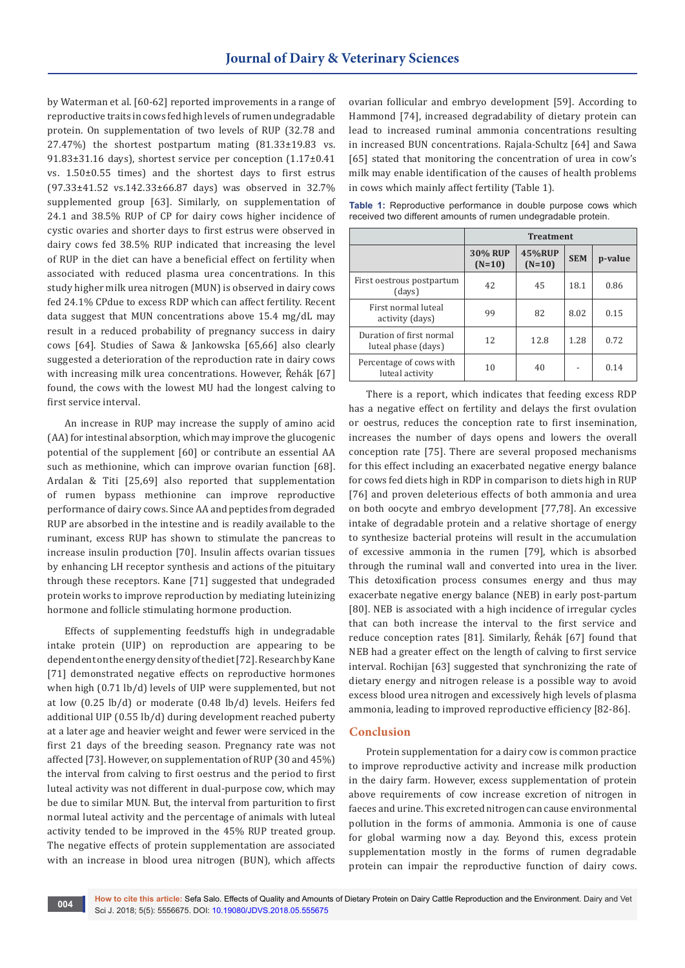by Waterman et al. [60-62] reported improvements in a range of reproductive traits in cows fed high levels of rumen undegradable protein. On supplementation of two levels of RUP (32.78 and 27.47%) the shortest postpartum mating (81.33±19.83 vs. 91.83±31.16 days), shortest service per conception (1.17±0.41 vs. 1.50±0.55 times) and the shortest days to first estrus (97.33±41.52 vs.142.33±66.87 days) was observed in 32.7% supplemented group [63]. Similarly, on supplementation of 24.1 and 38.5% RUP of CP for dairy cows higher incidence of cystic ovaries and shorter days to first estrus were observed in dairy cows fed 38.5% RUP indicated that increasing the level of RUP in the diet can have a beneficial effect on fertility when associated with reduced plasma urea concentrations. In this study higher milk urea nitrogen (MUN) is observed in dairy cows fed 24.1% CPdue to excess RDP which can affect fertility. Recent data suggest that MUN concentrations above 15.4 mg/dL may result in a reduced probability of pregnancy success in dairy cows [64]. Studies of Sawa & Jankowska [65,66] also clearly suggested a deterioration of the reproduction rate in dairy cows with increasing milk urea concentrations. However, Řehák [67] found, the cows with the lowest MU had the longest calving to first service interval.

An increase in RUP may increase the supply of amino acid (AA) for intestinal absorption, which may improve the glucogenic potential of the supplement [60] or contribute an essential AA such as methionine, which can improve ovarian function [68]. Ardalan & Titi [25,69] also reported that supplementation of rumen bypass methionine can improve reproductive performance of dairy cows. Since AA and peptides from degraded RUP are absorbed in the intestine and is readily available to the ruminant, excess RUP has shown to stimulate the pancreas to increase insulin production [70]. Insulin affects ovarian tissues by enhancing LH receptor synthesis and actions of the pituitary through these receptors. Kane [71] suggested that undegraded protein works to improve reproduction by mediating luteinizing hormone and follicle stimulating hormone production.

Effects of supplementing feedstuffs high in undegradable intake protein (UIP) on reproduction are appearing to be dependent on the energy density of the diet [72]. Research by Kane [71] demonstrated negative effects on reproductive hormones when high (0.71 lb/d) levels of UIP were supplemented, but not at low (0.25 lb/d) or moderate (0.48 lb/d) levels. Heifers fed additional UIP (0.55 lb/d) during development reached puberty at a later age and heavier weight and fewer were serviced in the first 21 days of the breeding season. Pregnancy rate was not affected [73]. However, on supplementation of RUP (30 and 45%) the interval from calving to first oestrus and the period to first luteal activity was not different in dual-purpose cow, which may be due to similar MUN. But, the interval from parturition to first normal luteal activity and the percentage of animals with luteal activity tended to be improved in the 45% RUP treated group. The negative effects of protein supplementation are associated with an increase in blood urea nitrogen (BUN), which affects

ovarian follicular and embryo development [59]. According to Hammond [74], increased degradability of dietary protein can lead to increased ruminal ammonia concentrations resulting in increased BUN concentrations. Rajala-Schultz [64] and Sawa [65] stated that monitoring the concentration of urea in cow's milk may enable identification of the causes of health problems in cows which mainly affect fertility (Table 1).

**Table 1:** Reproductive performance in double purpose cows which received two different amounts of rumen undegradable protein.

|                                                 | <b>Treatment</b>           |                           |            |         |
|-------------------------------------------------|----------------------------|---------------------------|------------|---------|
|                                                 | <b>30% RUP</b><br>$(N=10)$ | <b>45%RUP</b><br>$(N=10)$ | <b>SEM</b> | p-value |
| First oestrous postpartum<br>(days)             | 42                         | 45                        | 18.1       | 0.86    |
| First normal luteal<br>activity (days)          | 99                         | 82                        | 8.02       | 0.15    |
| Duration of first normal<br>luteal phase (days) | 12                         | 12.8                      | 1.28       | 0.72    |
| Percentage of cows with<br>luteal activity      | 10                         | 40                        |            | 0.14    |

There is a report, which indicates that feeding excess RDP has a negative effect on fertility and delays the first ovulation or oestrus, reduces the conception rate to first insemination, increases the number of days opens and lowers the overall conception rate [75]. There are several proposed mechanisms for this effect including an exacerbated negative energy balance for cows fed diets high in RDP in comparison to diets high in RUP [76] and proven deleterious effects of both ammonia and urea on both oocyte and embryo development [77,78]. An excessive intake of degradable protein and a relative shortage of energy to synthesize bacterial proteins will result in the accumulation of excessive ammonia in the rumen [79], which is absorbed through the ruminal wall and converted into urea in the liver. This detoxification process consumes energy and thus may exacerbate negative energy balance (NEB) in early post-partum [80]. NEB is associated with a high incidence of irregular cycles that can both increase the interval to the first service and reduce conception rates [81]. Similarly, Řehák [67] found that NEB had a greater effect on the length of calving to first service interval. Rochijan [63] suggested that synchronizing the rate of dietary energy and nitrogen release is a possible way to avoid excess blood urea nitrogen and excessively high levels of plasma ammonia, leading to improved reproductive efficiency [82-86].

## **Conclusion**

Protein supplementation for a dairy cow is common practice to improve reproductive activity and increase milk production in the dairy farm. However, excess supplementation of protein above requirements of cow increase excretion of nitrogen in faeces and urine. This excreted nitrogen can cause environmental pollution in the forms of ammonia. Ammonia is one of cause for global warming now a day. Beyond this, excess protein supplementation mostly in the forms of rumen degradable protein can impair the reproductive function of dairy cows.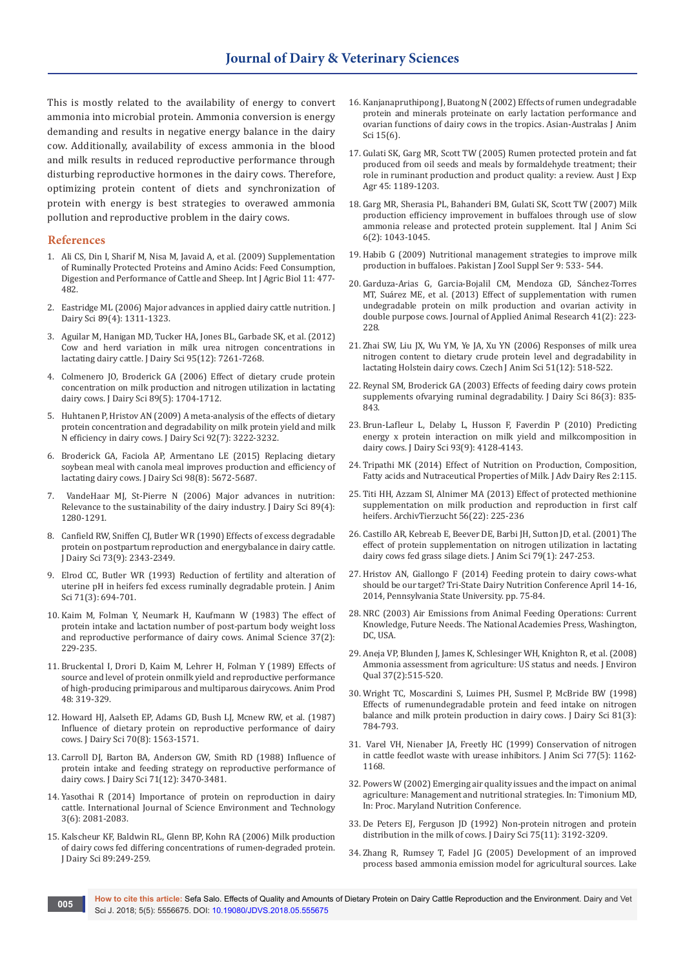This is mostly related to the availability of energy to convert ammonia into microbial protein. Ammonia conversion is energy demanding and results in negative energy balance in the dairy cow. Additionally, availability of excess ammonia in the blood and milk results in reduced reproductive performance through disturbing reproductive hormones in the dairy cows. Therefore, optimizing protein content of diets and synchronization of protein with energy is best strategies to overawed ammonia pollution and reproductive problem in the dairy cows.

### **References**

- 1. [Ali CS, Din I, Sharif M, Nisa M, Javaid A, et al. \(2009\) Supplementation](http://www.fspublishers.org/published_papers/58862_..pdf)  [of Ruminally Protected Proteins and Amino Acids: Feed Consumption,](http://www.fspublishers.org/published_papers/58862_..pdf)  [Digestion and Performance of Cattle and Sheep. Int J Agric Biol 11: 477-](http://www.fspublishers.org/published_papers/58862_..pdf) [482.](http://www.fspublishers.org/published_papers/58862_..pdf)
- 2. [Eastridge ML \(2006\) Major advances in applied dairy cattle nutrition. J](https://www.ncbi.nlm.nih.gov/pubmed/16537963)  [Dairy Sci 89\(4\): 1311-1323.](https://www.ncbi.nlm.nih.gov/pubmed/16537963)
- 3. [Aguilar M, Hanigan MD, Tucker HA, Jones BL, Garbade SK, et al. \(2012\)](https://www.ncbi.nlm.nih.gov/pubmed/23040023)  [Cow and herd variation in milk urea nitrogen concentrations in](https://www.ncbi.nlm.nih.gov/pubmed/23040023)  [lactating dairy cattle. J Dairy Sci 95\(12\): 7261-7268.](https://www.ncbi.nlm.nih.gov/pubmed/23040023)
- 4. [Colmenero JO, Broderick GA \(2006\) Effect of dietary crude protein](https://www.ncbi.nlm.nih.gov/pubmed/16606741)  [concentration on milk production and nitrogen utilization in lactating](https://www.ncbi.nlm.nih.gov/pubmed/16606741)  [dairy cows. J Dairy Sci 89\(5\): 1704-1712.](https://www.ncbi.nlm.nih.gov/pubmed/16606741)
- 5. [Huhtanen P, Hristov AN \(2009\) A meta-analysis of the effects of dietary](https://www.ncbi.nlm.nih.gov/pubmed/19528599)  [protein concentration and degradability on milk protein yield and milk](https://www.ncbi.nlm.nih.gov/pubmed/19528599)  [N efficiency in dairy cows. J Dairy Sci 92\(7\): 3222-3232.](https://www.ncbi.nlm.nih.gov/pubmed/19528599)
- 6. [Broderick GA, Faciola AP, Armentano LE \(2015\) Replacing dietary](https://www.ncbi.nlm.nih.gov/pubmed/26074230)  [soybean meal with canola meal improves production and efficiency of](https://www.ncbi.nlm.nih.gov/pubmed/26074230)  [lactating dairy cows. J Dairy Sci 98\(8\): 5672-5687.](https://www.ncbi.nlm.nih.gov/pubmed/26074230)
- VandeHaar MJ, St-Pierre N (2006) Major advances in nutrition: [Relevance to the sustainability of the dairy industry. J Dairy Sci 89\(4\):](https://www.ncbi.nlm.nih.gov/pubmed/16537960)  [1280-1291.](https://www.ncbi.nlm.nih.gov/pubmed/16537960)
- 8. [Canfield RW, Sniffen CJ, Butler WR \(1990\) Effects of excess degradable](https://www.ncbi.nlm.nih.gov/pubmed/2258483)  [protein on postpartum reproduction and energybalance in dairy cattle.](https://www.ncbi.nlm.nih.gov/pubmed/2258483)  [J Dairy Sci 73\(9\): 2343-2349.](https://www.ncbi.nlm.nih.gov/pubmed/2258483)
- 9. [Elrod CC, Butler WR \(1993\) Reduction of fertility and alteration of](https://www.ncbi.nlm.nih.gov/pubmed/8463156)  [uterine pH in heifers fed excess ruminally degradable protein. J Anim](https://www.ncbi.nlm.nih.gov/pubmed/8463156)  [Sci 71\(3\): 694-701.](https://www.ncbi.nlm.nih.gov/pubmed/8463156)
- 10. Kaim M, Folman Y, Neumark H, Kaufmann W (1983) The effect of protein intake and lactation number of post-partum body weight loss and reproductive performance of dairy cows. Animal Science 37(2): 229-235.
- 11. [Bruckental I, Drori D, Kaim M, Lehrer H, Folman Y \(1989\) Effects of](http://agris.fao.org/agris-search/search.do?recordID=GB8903677)  [source and level of protein onmilk yield and reproductive performance](http://agris.fao.org/agris-search/search.do?recordID=GB8903677)  [of high-producing primiparous and multiparous dairycows. Anim Prod](http://agris.fao.org/agris-search/search.do?recordID=GB8903677)  [48: 319-329.](http://agris.fao.org/agris-search/search.do?recordID=GB8903677)
- 12. [Howard HJ, Aalseth EP, Adams GD, Bush LJ, Mcnew RW, et al. \(1987\)](https://www.ncbi.nlm.nih.gov/pubmed/3668029)  [Influence of dietary protein on reproductive performance of dairy](https://www.ncbi.nlm.nih.gov/pubmed/3668029)  [cows. J Dairy Sci 70\(8\): 1563-1571.](https://www.ncbi.nlm.nih.gov/pubmed/3668029)
- 13. [Carroll DJ, Barton BA, Anderson GW, Smith RD \(1988\) Influence of](https://www.ncbi.nlm.nih.gov/pubmed/3235738)  [protein intake and feeding strategy on reproductive performance of](https://www.ncbi.nlm.nih.gov/pubmed/3235738)  [dairy cows. J Dairy Sci 71\(12\): 3470-3481.](https://www.ncbi.nlm.nih.gov/pubmed/3235738)
- 14. [Yasothai R \(2014\) Importance of protein on reproduction in dairy](http://krishikosh.egranth.ac.in/bitstream/1/5810030650/1/TNV_IJSET_Y2014_V3_%20I6_Pg2081%E2%80%932083.pdf)  [cattle. International Journal of Science Environment and Technology](http://krishikosh.egranth.ac.in/bitstream/1/5810030650/1/TNV_IJSET_Y2014_V3_%20I6_Pg2081%E2%80%932083.pdf)  [3\(6\): 2081-2083.](http://krishikosh.egranth.ac.in/bitstream/1/5810030650/1/TNV_IJSET_Y2014_V3_%20I6_Pg2081%E2%80%932083.pdf)
- 15. Kalscheur KF, Baldwin RL, Glenn BP, Kohn RA (2006) Milk production of dairy cows fed differing concentrations of rumen-degraded protein. J Dairy Sci 89:249-259.
- 16. Kanjanapruthipong J, Buatong N (2002) Effects of rumen undegradable protein and minerals proteinate on early lactation performance and ovarian functions of dairy cows in the tropics. Asian-Australas J Anim Sci 15(6).
- 17. Gulati SK, Garg MR, Scott TW (2005) Rumen protected protein and fat produced from oil seeds and meals by formaldehyde treatment; their role in ruminant production and product quality: a review. Aust J Exp Agr 45: 1189-1203.
- 18. [Garg MR, Sherasia PL, Bahanderi BM, Gulati SK, Scott TW \(2007\) Milk](http://www.dairyknowledge.in/sites/default/files/bypass_protein_technology_sl_no_15_an_group.pdf)  [production efficiency improvement in buffaloes through use of slow](http://www.dairyknowledge.in/sites/default/files/bypass_protein_technology_sl_no_15_an_group.pdf)  [ammonia release and protected protein supplement. Ital J Anim Sci](http://www.dairyknowledge.in/sites/default/files/bypass_protein_technology_sl_no_15_an_group.pdf)  [6\(2\): 1043-1045.](http://www.dairyknowledge.in/sites/default/files/bypass_protein_technology_sl_no_15_an_group.pdf)
- 19. Habib G (2009) Nutritional management strategies to improve milk production in buffaloes. Pakistan J Zool Suppl Ser 9: 533- 544.
- 20. [Garduza-Arias G, Garcia-Bojalil CM, Mendoza GD, Sánchez-Torres](https://www.tandfonline.com/doi/abs/10.1080/09712119.2012.739088)  [MT, Suárez ME, et al. \(2013\) Effect of supplementation with rumen](https://www.tandfonline.com/doi/abs/10.1080/09712119.2012.739088)  [undegradable protein on milk production and ovarian activity in](https://www.tandfonline.com/doi/abs/10.1080/09712119.2012.739088)  [double purpose cows. Journal of Applied Animal Research 41\(2\): 223-](https://www.tandfonline.com/doi/abs/10.1080/09712119.2012.739088) [228.](https://www.tandfonline.com/doi/abs/10.1080/09712119.2012.739088)
- 21. [Zhai SW, Liu JX, Wu YM, Ye JA, Xu YN \(2006\) Responses of milk urea](https://www.agriculturejournals.cz/publicFiles/52348.pdf)  [nitrogen content to dietary crude protein level and degradability in](https://www.agriculturejournals.cz/publicFiles/52348.pdf)  [lactating Holstein dairy cows. Czech J Anim Sci 51\(12\): 518-522.](https://www.agriculturejournals.cz/publicFiles/52348.pdf)
- 22. [Reynal SM, Broderick GA \(2003\) Effects of feeding dairy cows protein](https://www.ncbi.nlm.nih.gov/pubmed/12703620)  [supplements ofvarying ruminal degradability. J Dairy Sci 86\(3\): 835-](https://www.ncbi.nlm.nih.gov/pubmed/12703620) [843.](https://www.ncbi.nlm.nih.gov/pubmed/12703620)
- 23. [Brun-Lafleur L, Delaby L, Husson F, Faverdin P \(2010\) Predicting](https://www.ncbi.nlm.nih.gov/pubmed/20723688)  [energy x protein interaction on milk yield and milkcomposition in](https://www.ncbi.nlm.nih.gov/pubmed/20723688)  [dairy cows. J Dairy Sci 93\(9\): 4128-4143.](https://www.ncbi.nlm.nih.gov/pubmed/20723688)
- 24. Tripathi MK (2014) Effect of Nutrition on Production, Composition, Fatty acids and Nutraceutical Properties of Milk. J Adv Dairy Res 2:115.
- 25. [Titi HH, Azzam SI, Alnimer MA \(2013\) Effect of protected methionine](https://pdfs.semanticscholar.org/5e6e/b90b0f7fd13761875e9f1cc75adbc4a7bc21.pdf)  [supplementation on milk production and reproduction in first calf](https://pdfs.semanticscholar.org/5e6e/b90b0f7fd13761875e9f1cc75adbc4a7bc21.pdf)  [heifers. ArchivTierzucht 56\(22\): 225-236](https://pdfs.semanticscholar.org/5e6e/b90b0f7fd13761875e9f1cc75adbc4a7bc21.pdf)
- 26. [Castillo AR, Kebreab E, Beever DE, Barbi JH, Sutton JD, et al. \(2001\) The](https://www.ncbi.nlm.nih.gov/pubmed/11204707)  [effect of protein supplementation on nitrogen utilization in lactating](https://www.ncbi.nlm.nih.gov/pubmed/11204707)  [dairy cows fed grass silage diets. J Anim Sci 79\(1\): 247-253.](https://www.ncbi.nlm.nih.gov/pubmed/11204707)
- 27. Hristov AN, Giallongo F (2014) Feeding protein to dairy cows-what should be our target? Tri-State Dairy Nutrition Conference April 14-16, 2014, Pennsylvania State University. pp. 75-84.
- 28. NRC (2003) Air Emissions from Animal Feeding Operations: Current Knowledge, Future Needs. The National Academies Press, Washington, DC, USA.
- 29. [Aneja VP, Blunden J, James K, Schlesinger WH, Knighton R, et al. \(2008\)](https://pubag.nal.usda.gov/download/18133/PDF)  [Ammonia assessment from agriculture: US status and needs. J Environ](https://pubag.nal.usda.gov/download/18133/PDF)  [Qual 37\(2\):515-520.](https://pubag.nal.usda.gov/download/18133/PDF)
- 30. [Wright TC, Moscardini S, Luimes PH, Susmel P, McBride BW \(1998\)](https://www.ncbi.nlm.nih.gov/pubmed/9565882)  [Effects of rumenundegradable protein and feed intake on nitrogen](https://www.ncbi.nlm.nih.gov/pubmed/9565882)  [balance and milk protein production in dairy cows. J Dairy Sci 81\(3\):](https://www.ncbi.nlm.nih.gov/pubmed/9565882)  [784-793.](https://www.ncbi.nlm.nih.gov/pubmed/9565882)
- 31. [Varel VH, Nienaber JA, Freetly HC \(1999\) Conservation of nitrogen](https://www.ncbi.nlm.nih.gov/pubmed/10340583)  [in cattle feedlot waste with urease inhibitors. J Anim Sci 77\(5\): 1162-](https://www.ncbi.nlm.nih.gov/pubmed/10340583) [1168.](https://www.ncbi.nlm.nih.gov/pubmed/10340583)
- 32. Powers W (2002) Emerging air quality issues and the impact on animal agriculture: Management and nutritional strategies. In: Timonium MD, In: Proc. Maryland Nutrition Conference.
- 33. [De Peters EJ, Ferguson JD \(1992\) Non-protein nitrogen and protein](https://www.sciencedirect.com/science/article/pii/S0022030292780850)  [distribution in the milk of cows. J Dairy Sci 75\(11\): 3192-3209.](https://www.sciencedirect.com/science/article/pii/S0022030292780850)
- 34. Zhang R, Rumsey T, Fadel JG (2005) Development of an improved process based ammonia emission model for agricultural sources. Lake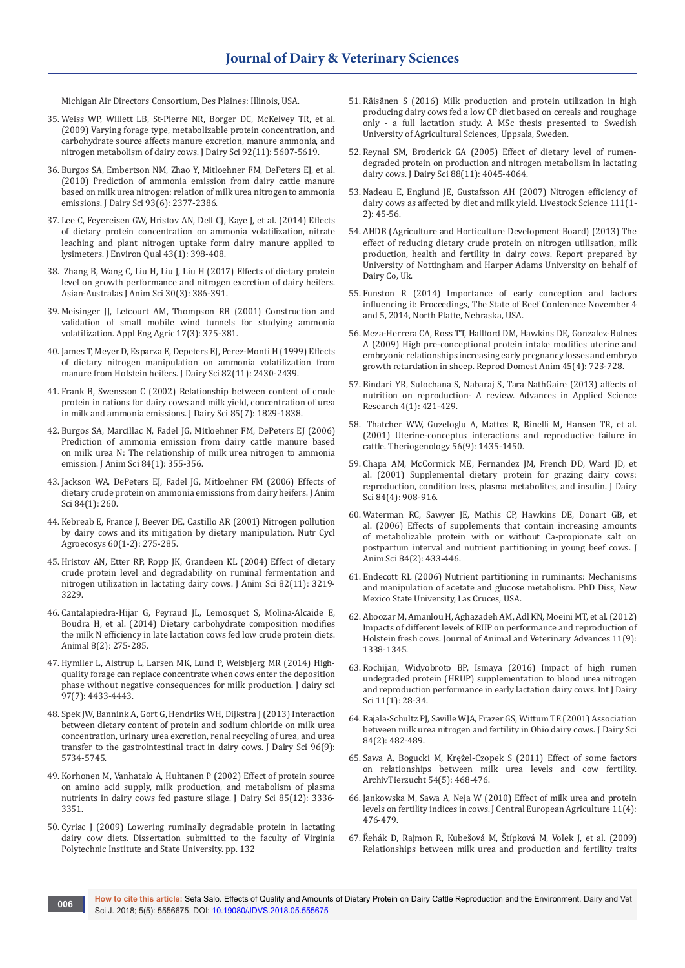Michigan Air Directors Consortium, Des Plaines: Illinois, USA.

- 35. [Weiss WP, Willett LB, St-Pierre NR, Borger DC, McKelvey TR, et al.](https://www.ncbi.nlm.nih.gov/pubmed/19841221)  [\(2009\) Varying forage type, metabolizable protein concentration, and](https://www.ncbi.nlm.nih.gov/pubmed/19841221)  [carbohydrate source affects manure excretion, manure ammonia, and](https://www.ncbi.nlm.nih.gov/pubmed/19841221)  [nitrogen metabolism of dairy cows. J Dairy Sci 92\(11\): 5607-5619.](https://www.ncbi.nlm.nih.gov/pubmed/19841221)
- 36. [Burgos SA, Embertson NM, Zhao Y, Mitloehner FM, DePeters EJ, et al.](https://www.ncbi.nlm.nih.gov/pubmed/20494146)  [\(2010\) Prediction of ammonia emission from dairy cattle manure](https://www.ncbi.nlm.nih.gov/pubmed/20494146)  [based on milk urea nitrogen: relation of milk urea nitrogen to ammonia](https://www.ncbi.nlm.nih.gov/pubmed/20494146)  [emissions. J Dairy Sci 93\(6\): 2377-2386.](https://www.ncbi.nlm.nih.gov/pubmed/20494146)
- 37. [Lee C, Feyereisen GW, Hristov AN, Dell CJ, Kaye J, et al. \(2014\) Effects](https://www.ncbi.nlm.nih.gov/pubmed/25602574)  [of dietary protein concentration on ammonia volatilization, nitrate](https://www.ncbi.nlm.nih.gov/pubmed/25602574)  [leaching and plant nitrogen uptake form dairy manure applied to](https://www.ncbi.nlm.nih.gov/pubmed/25602574)  [lysimeters. J Environ Qual 43\(1\): 398-408.](https://www.ncbi.nlm.nih.gov/pubmed/25602574)
- 38. [Zhang B, Wang C, Liu H, Liu J, Liu H \(2017\) Effects of dietary protein](https://www.ncbi.nlm.nih.gov/pubmed/27554361/)  [level on growth performance and nitrogen excretion of dairy heifers.](https://www.ncbi.nlm.nih.gov/pubmed/27554361/)  [Asian-Australas J Anim Sci 30\(3\): 386-391.](https://www.ncbi.nlm.nih.gov/pubmed/27554361/)
- 39. [Meisinger JJ, Lefcourt AM, Thompson RB \(2001\) Construction and](https://pubag.nal.usda.gov/download/25970/PDF)  [validation of small mobile wind tunnels for studying ammonia](https://pubag.nal.usda.gov/download/25970/PDF)  [volatilization. Appl Eng Agric 17\(3\): 375-381.](https://pubag.nal.usda.gov/download/25970/PDF)
- 40. [James T, Meyer D, Esparza E, Depeters EJ, Perez-Monti H \(1999\) Effects](https://www.sciencedirect.com/science/article/pii/S0022030299754949)  [of dietary nitrogen manipulation on ammonia volatilization from](https://www.sciencedirect.com/science/article/pii/S0022030299754949)  [manure from Holstein heifers. J Dairy Sci 82\(11\): 2430-2439.](https://www.sciencedirect.com/science/article/pii/S0022030299754949)
- 41. [Frank B, Swensson C \(2002\) Relationship between content of crude](https://www.ncbi.nlm.nih.gov/pubmed/12201534)  [protein in rations for dairy cows and milk yield, concentration of urea](https://www.ncbi.nlm.nih.gov/pubmed/12201534)  [in milk and ammonia emissions. J Dairy Sci 85\(7\): 1829-1838.](https://www.ncbi.nlm.nih.gov/pubmed/12201534)
- 42. Burgos SA, Marcillac N, Fadel JG, Mitloehner FM, DePeters EJ (2006) Prediction of ammonia emission from dairy cattle manure based on milk urea N: The relationship of milk urea nitrogen to ammonia emission. J Anim Sci 84(1): 355-356.
- 43. Jackson WA, DePeters EJ, Fadel JG, Mitloehner FM (2006) Effects of dietary crude protein on ammonia emissions from dairy heifers. J Anim Sci 84(1): 260.
- 44. [Kebreab E, France J, Beever DE, Castillo AR \(2001\) Nitrogen pollution](https://link.springer.com/article/10.1023/A:1012668109662)  [by dairy cows and its mitigation by dietary manipulation. Nutr Cycl](https://link.springer.com/article/10.1023/A:1012668109662)  [Agroecosys 60\(1-2\): 275-285.](https://link.springer.com/article/10.1023/A:1012668109662)
- 45. [Hristov AN, Etter RP, Ropp JK, Grandeen KL \(2004\) Effect of dietary](https://www.ncbi.nlm.nih.gov/pubmed/15542468)  [crude protein level and degradability on ruminal fermentation and](https://www.ncbi.nlm.nih.gov/pubmed/15542468)  [nitrogen utilization in lactating dairy cows. J Anim Sci 82\(11\): 3219-](https://www.ncbi.nlm.nih.gov/pubmed/15542468) [3229.](https://www.ncbi.nlm.nih.gov/pubmed/15542468)
- 46. [Cantalapiedra-Hijar G, Peyraud JL, Lemosquet S, Molina-Alcaide E,](https://www.ncbi.nlm.nih.gov/pubmed/24229810)  [Boudra H, et al. \(2014\) Dietary carbohydrate composition modifies](https://www.ncbi.nlm.nih.gov/pubmed/24229810)  [the milk N efficiency in late lactation cows fed low crude protein diets.](https://www.ncbi.nlm.nih.gov/pubmed/24229810)  [Animal 8\(2\): 275-285.](https://www.ncbi.nlm.nih.gov/pubmed/24229810)
- 47. [Hymller L, Alstrup L, Larsen MK, Lund P, Weisbjerg MR \(2014\) High](https://www.ncbi.nlm.nih.gov/pubmed/24767891)[quality forage can replace concentrate when cows enter the deposition](https://www.ncbi.nlm.nih.gov/pubmed/24767891)  [phase without negative consequences for milk production. J dairy sci](https://www.ncbi.nlm.nih.gov/pubmed/24767891)  [97\(7\): 4433-4443.](https://www.ncbi.nlm.nih.gov/pubmed/24767891)
- 48. [Spek JW, Bannink A, Gort G, Hendriks WH, Dijkstra J \(2013\) Interaction](https://www.ncbi.nlm.nih.gov/pubmed/23871366)  [between dietary content of protein and sodium chloride on milk urea](https://www.ncbi.nlm.nih.gov/pubmed/23871366)  [concentration, urinary urea excretion, renal recycling of urea, and urea](https://www.ncbi.nlm.nih.gov/pubmed/23871366)  [transfer to the gastrointestinal tract in dairy cows. J Dairy Sci 96\(9\):](https://www.ncbi.nlm.nih.gov/pubmed/23871366)  [5734-5745.](https://www.ncbi.nlm.nih.gov/pubmed/23871366)
- 49. [Korhonen M, Vanhatalo A, Huhtanen P \(2002\) Effect of protein source](https://www.ncbi.nlm.nih.gov/pubmed/12512607)  [on amino acid supply, milk production, and metabolism of plasma](https://www.ncbi.nlm.nih.gov/pubmed/12512607)  [nutrients in dairy cows fed pasture silage. J Dairy Sci 85\(12\): 3336-](https://www.ncbi.nlm.nih.gov/pubmed/12512607) [3351.](https://www.ncbi.nlm.nih.gov/pubmed/12512607)
- 50. Cyriac J (2009) Lowering ruminally degradable protein in lactating dairy cow diets. Dissertation submitted to the faculty of Virginia Polytechnic Institute and State University. pp. 132
- 51. Räisänen S (2016) Milk production and protein utilization in high producing dairy cows fed a low CP diet based on cereals and roughage only - a full lactation study. A MSc thesis presented to Swedish University of Agricultural Sciences, Uppsala, Sweden.
- 52. [Reynal SM, Broderick GA \(2005\) Effect of dietary level of rumen](https://www.ncbi.nlm.nih.gov/pubmed/16230710)[degraded protein on production and nitrogen metabolism in lactating](https://www.ncbi.nlm.nih.gov/pubmed/16230710)  [dairy cows. J Dairy Sci 88\(11\): 4045-4064.](https://www.ncbi.nlm.nih.gov/pubmed/16230710)
- 53. [Nadeau E, Englund JE, Gustafsson AH \(2007\) Nitrogen efficiency of](https://www.sciencedirect.com/science/article/pii/S1871141306004215)  [dairy cows as affected by diet and milk yield. Livestock Science 111\(1-](https://www.sciencedirect.com/science/article/pii/S1871141306004215) [2\): 45-56.](https://www.sciencedirect.com/science/article/pii/S1871141306004215)
- 54. AHDB (Agriculture and Horticulture Development Board) (2013) The effect of reducing dietary crude protein on nitrogen utilisation, milk production, health and fertility in dairy cows. Report prepared by University of Nottingham and Harper Adams University on behalf of Dairy Co, Uk.
- 55. Funston R (2014) Importance of early conception and factors influencing it: Proceedings, The State of Beef Conference November 4 and 5, 2014, North Platte, Nebraska, USA.
- 56. [Meza-Herrera CA, Ross TT, Hallford DM, Hawkins DE, Gonzalez-Bulnes](https://www.ncbi.nlm.nih.gov/pubmed/19220796)  [A \(2009\) High pre-conceptional protein intake modifies uterine and](https://www.ncbi.nlm.nih.gov/pubmed/19220796)  [embryonic relationships increasing early pregnancy losses and embryo](https://www.ncbi.nlm.nih.gov/pubmed/19220796)  [growth retardation in sheep. Reprod Domest Anim 45\(4\): 723-728.](https://www.ncbi.nlm.nih.gov/pubmed/19220796)
- 57. [Bindari YR, Sulochana S, Nabaraj S, Tara NathGaire \(2013\) affects of](http://www.imedpub.com/articles/effects-of-nutrition-on-reproduction-a-review.pdf)  [nutrition on reproduction- A review. Advances in Applied Science](http://www.imedpub.com/articles/effects-of-nutrition-on-reproduction-a-review.pdf)  [Research 4\(1\): 421-429.](http://www.imedpub.com/articles/effects-of-nutrition-on-reproduction-a-review.pdf)
- 58. [Thatcher WW, Guzeloglu A, Mattos R, Binelli M, Hansen TR, et al.](https://www.ncbi.nlm.nih.gov/pubmed/11768809)  [\(2001\) Uterine-conceptus interactions and reproductive failure in](https://www.ncbi.nlm.nih.gov/pubmed/11768809)  [cattle. Theriogenology 56\(9\): 1435-1450.](https://www.ncbi.nlm.nih.gov/pubmed/11768809)
- 59. [Chapa AM, McCormick ME, Fernandez JM, French DD, Ward JD, et](https://www.ncbi.nlm.nih.gov/pubmed/11352167)  [al. \(2001\) Supplemental dietary protein for grazing dairy cows:](https://www.ncbi.nlm.nih.gov/pubmed/11352167)  [reproduction, condition loss, plasma metabolites, and insulin. J Dairy](https://www.ncbi.nlm.nih.gov/pubmed/11352167)  [Sci 84\(4\): 908-916.](https://www.ncbi.nlm.nih.gov/pubmed/11352167)
- 60. Waterman RC, Sawyer JE, Mathis CP, Hawkins DE, Donart GB, et al. (2006) Effects of supplements that contain increasing amounts of metabolizable protein with or without Ca-propionate salt on postpartum interval and nutrient partitioning in young beef cows. J Anim Sci 84(2): 433-446.
- 61. Endecott RL (2006) Nutrient partitioning in ruminants: Mechanisms and manipulation of acetate and glucose metabolism. PhD Diss, New Mexico State University, Las Cruces, USA.
- 62. [Aboozar M, Amanlou H, Aghazadeh AM, Adl KN, Moeini MT, et al. \(2012\)](http://docsdrive.com/pdfs/medwelljournals/javaa/2012/1338-1345.pdf)  [Impacts of different levels of RUP on performance and reproduction of](http://docsdrive.com/pdfs/medwelljournals/javaa/2012/1338-1345.pdf)  [Holstein fresh cows. Journal of Animal and Veterinary Advances 11\(9\):](http://docsdrive.com/pdfs/medwelljournals/javaa/2012/1338-1345.pdf)  [1338-1345.](http://docsdrive.com/pdfs/medwelljournals/javaa/2012/1338-1345.pdf)
- 63. [Rochijan, Widyobroto BP, Ismaya \(2016\) Impact of high rumen](https://scialert.net/abstract/?doi=ijds.2016.28.34)  [undegraded protein \(HRUP\) supplementation to blood urea nitrogen](https://scialert.net/abstract/?doi=ijds.2016.28.34)  [and reproduction performance in early lactation dairy cows. Int J Dairy](https://scialert.net/abstract/?doi=ijds.2016.28.34)  [Sci 11\(1\): 28-34.](https://scialert.net/abstract/?doi=ijds.2016.28.34)
- 64. [Rajala-Schultz PJ, Saville WJA, Frazer GS, Wittum TE \(2001\) Association](https://www.sciencedirect.com/science/article/pii/S0022030201744980)  [between milk urea nitrogen and fertility in Ohio dairy cows. J Dairy Sci](https://www.sciencedirect.com/science/article/pii/S0022030201744980)  [84\(2\): 482-489.](https://www.sciencedirect.com/science/article/pii/S0022030201744980)
- 65. [Sawa A, Bogucki M, Krężel-Czopek S \(2011\) Effect of some factors](http://archtierz.fbn-dummerstorf.de/pdf/2011/at11p468.pdf)  [on relationships between milk urea levels and cow fertility.](http://archtierz.fbn-dummerstorf.de/pdf/2011/at11p468.pdf)  [ArchivTierzucht 54\(5\): 468-476.](http://archtierz.fbn-dummerstorf.de/pdf/2011/at11p468.pdf)
- 66. Jankowska M, Sawa A, Neja W (2010) Effect of milk urea and protein levels on fertility indices in cows. J Central European Agriculture 11(4): 476-479.
- 67. [Řehák D, Rajmon R, Kubešová M, Štípková M, Volek J, et al. \(2009\)](https://www.agriculturejournals.cz/publicFiles/06489.pdf)  [Relationships between milk urea and production and fertility traits](https://www.agriculturejournals.cz/publicFiles/06489.pdf)